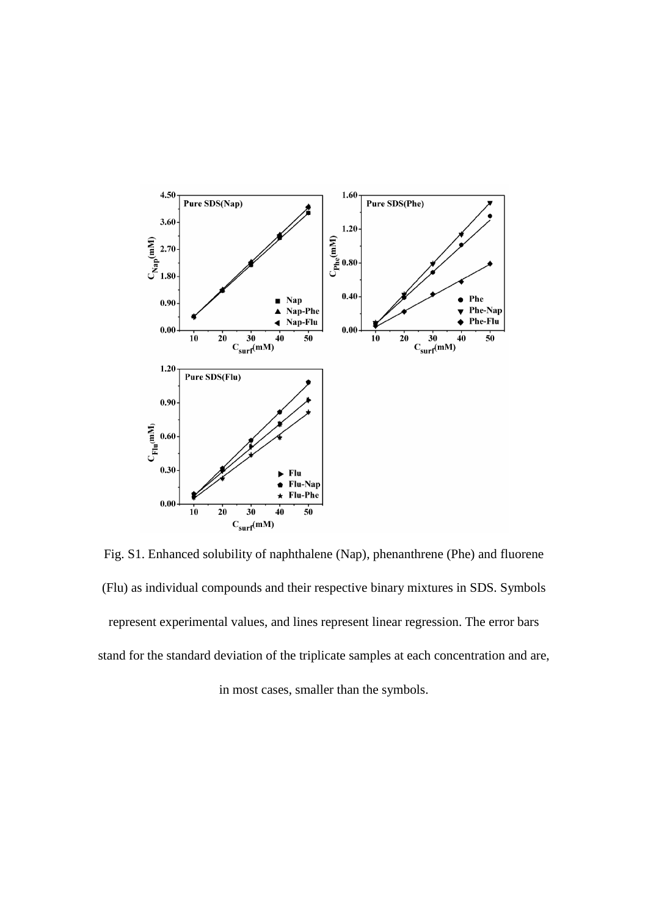

Fig. S1. Enhanced solubility of naphthalene (Nap), phenanthrene (Phe) and fluorene (Flu) as individual compounds and their respective binary mixtures in SDS. Symbols represent experimental values, and lines represent linear regression. The error bars stand for the standard deviation of the triplicate samples at each concentration and are,

in most cases, smaller than the symbols.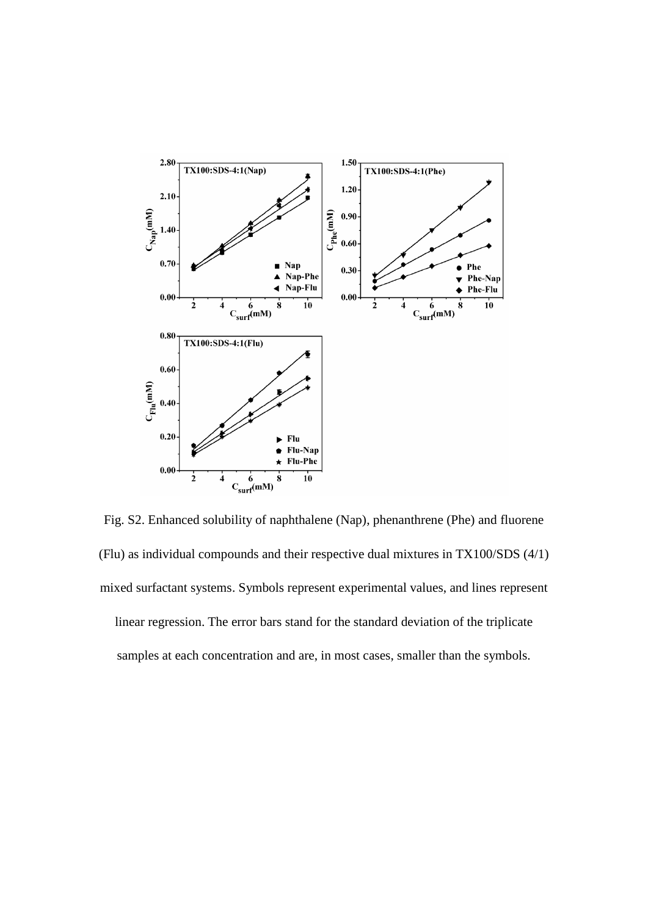

Fig. S2. Enhanced solubility of naphthalene (Nap), phenanthrene (Phe) and fluorene (Flu) as individual compounds and their respective dual mixtures in TX100/SDS (4/1) mixed surfactant systems. Symbols represent experimental values, and lines represent linear regression. The error bars stand for the standard deviation of the triplicate samples at each concentration and are, in most cases, smaller than the symbols.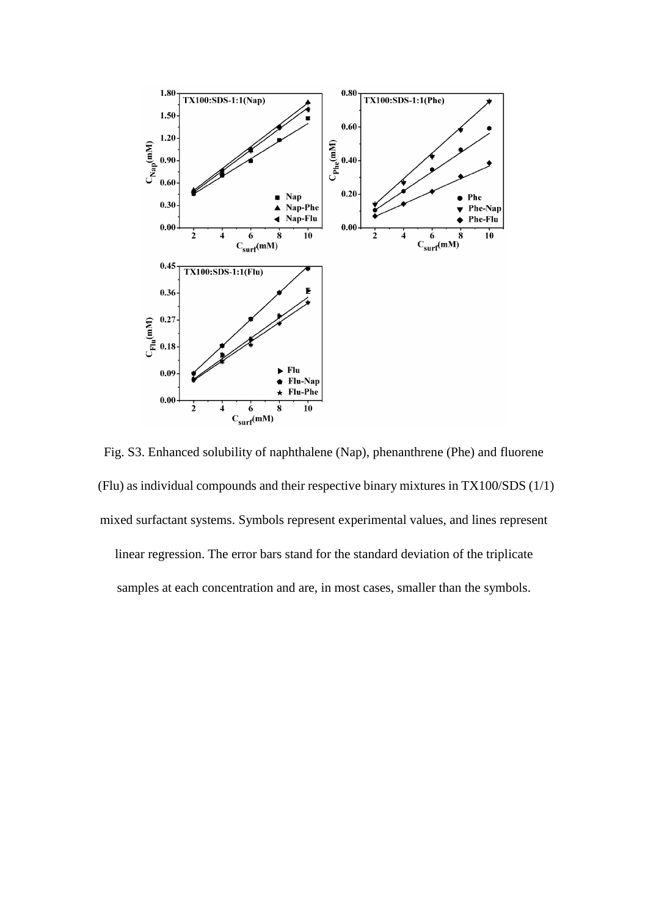

Fig. S3. Enhanced solubility of naphthalene (Nap), phenanthrene (Phe) and fluorene (Flu) as individual compounds and their respective binary mixtures in TX100/SDS (1/1) mixed surfactant systems. Symbols represent experimental values, and lines represent linear regression. The error bars stand for the standard deviation of the triplicate samples at each concentration and are, in most cases, smaller than the symbols.